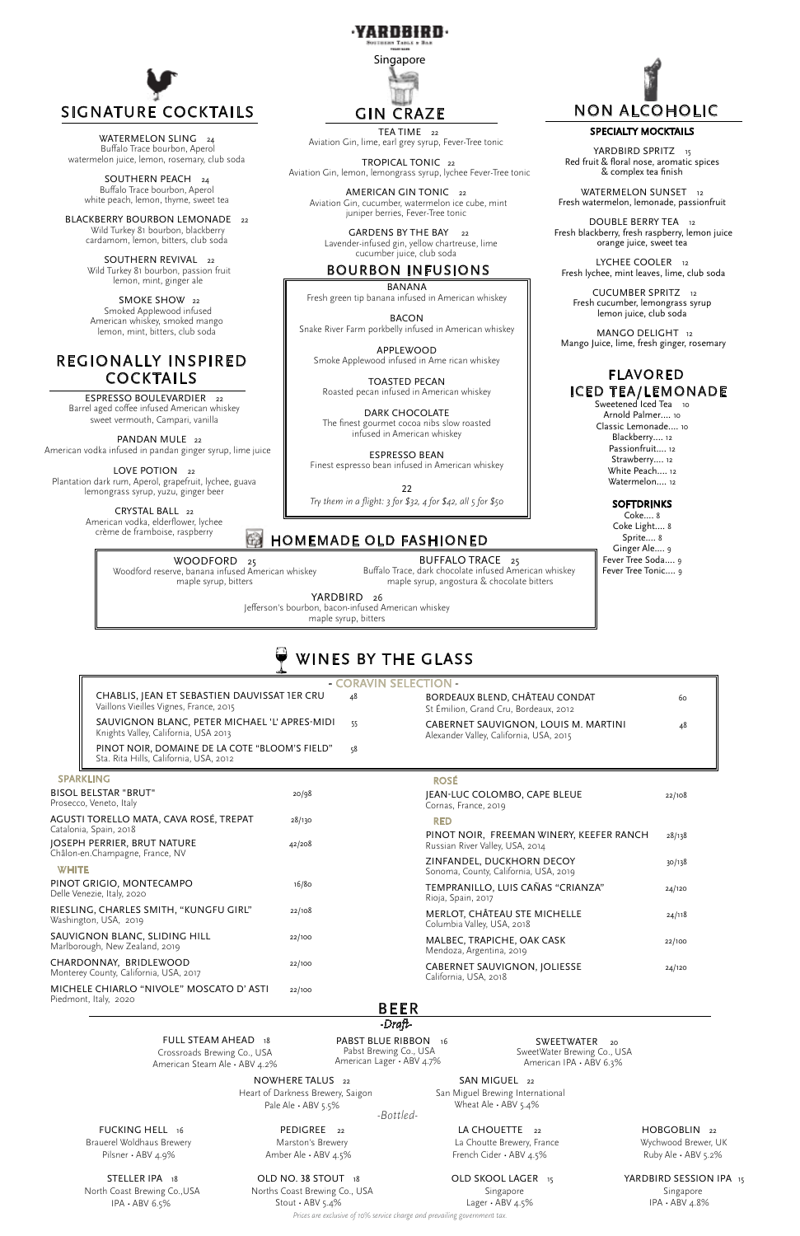

WINES BY THE GLASS

Aviation Gin, lime, earl grey syrup, Fever-Tree tonic

TROPICAL TONIC <sup>22</sup>

AMERICAN GIN TONIC 22

GARDENS BY THE BAY 22 Lavender-infused gin, yellow chartreuse, lime

 Aviation Gin, lemon, lemongrass syrup, lychee Fever-Tree tonic Aviation Gin, cucumber, watermelon ice cube, mint

WATERMELON SLING 24 Buffalo Trace bourbon, Aperol watermelon juice, lemon, rosemary, club soda

juniper berries, Fever-Tree tonic

SOUTHERN PEACH 24 Buffalo Trace bourbon, Aperol white peach, lemon, thyme, sweet tea

BLACKBERRY BOURBON LEMONADE 22 Wild Turkey 81 bourbon, blackberry cardamom, lemon, bitters, club soda

> SOUTHERN REVIVAL 22 Wild Turkey 81 bourbon, passion fruit lemon, mint, ginger ale

SMOKE SHOW 22 Smoked Applewood infused American whiskey, smoked mango lemon, mint, bitters, club soda



## cucumber juice, club soda BOURBON INFUSIONS

ESPRESSO BOULEVARDIER 22 Barrel aged coffee infused American whiskey sweet vermouth, Campari, vanilla

PANDAN MULE<sub>22</sub> American vodka infused in pandan ginger syrup, lime juice

|                                                                                                                                    | CHABLIS, JEAN ET SEBASTIEN DAUVISSAT IER CRU<br>Vaillons Vieilles Vignes, France, 2015   |                                               | 48 | BORDEAUX BLEND, CHÂTEAU CONDAT<br>St Émilion, Grand Cru, Bordeaux, 2012         | 60<br>48 |
|------------------------------------------------------------------------------------------------------------------------------------|------------------------------------------------------------------------------------------|-----------------------------------------------|----|---------------------------------------------------------------------------------|----------|
|                                                                                                                                    | Knights Valley, California, USA 2013                                                     | SAUVIGNON BLANC, PETER MICHAEL 'L' APRES-MIDI |    | CABERNET SAUVIGNON, LOUIS M. MARTINI<br>Alexander Valley, California, USA, 2015 |          |
|                                                                                                                                    | PINOT NOIR, DOMAINE DE LA COTE "BLOOM'S FIELD"<br>Sta. Rita Hills, California, USA, 2012 |                                               | 58 |                                                                                 |          |
|                                                                                                                                    | <b>SPARKLING</b>                                                                         |                                               |    | <b>ROSÉ</b>                                                                     |          |
| <b>BISOL BELSTAR "BRUT"</b><br>Prosecco, Veneto, Italy                                                                             |                                                                                          | 20/98                                         |    | JEAN-LUC COLOMBO, CAPE BLEUE<br>Cornas, France, 2019                            | 22/108   |
| AGUSTI TORELLO MATA, CAVA ROSÉ, TREPAT<br>Catalonia, Spain, 2018<br>JOSEPH PERRIER, BRUT NATURE<br>Châlon-en.Champagne, France, NV |                                                                                          | 28/130<br>42/208                              |    | <b>RED</b>                                                                      |          |
|                                                                                                                                    |                                                                                          |                                               |    | PINOT NOIR, FREEMAN WINERY, KEEFER RANCH<br>Russian River Valley, USA, 2014     | 28/138   |
| <b>WHITE</b>                                                                                                                       |                                                                                          |                                               |    | ZINFANDEL, DUCKHORN DECOY<br>Sonoma, County, California, USA, 2019              | 30/138   |
| PINOT GRIGIO, MONTECAMPO<br>Delle Venezie, Italy, 2020                                                                             |                                                                                          | 16/80                                         |    | TEMPRANILLO, LUIS CAÑAS "CRIANZA"<br>Rioja, Spain, 2017                         | 24/120   |

Delle Venezi

LOVE POTION 22 Plantation dark rum, Aperol, grapefruit, lychee, guava lemongrass syrup, yuzu, ginger beer

> CRYSTAL BALL 22 American vodka, elderflower, lychee crème de framboise, raspberry

BANANA Fresh green tip banana infused in American whiskey

YARDBIRD SPRITZ 15 Red fruit & floral nose, aromatic spices & complex tea finish

BACON Snake River Farm porkbelly infused in American whiskey

WATERMELON SUNSET 12 Fresh watermelon, lemonade, passionfruit

APPLEWOOD Smoke Applewood infused in Ame rican whiskey

DOUBLE BERRY TEA 12 Fresh blackberry, fresh raspberry, lemon juice orange juice, sweet tea

LYCHEE COOLER 12 Fresh lychee, mint leaves, lime, club soda

TOASTED PECAN Roasted pecan infused in American whiskey

DARK CHOCOLATE The finest gourmet cocoa nibs slow roasted infused in American whiskey

ESPRESSO BEAN Finest espresso bean infused in American whiskey

22 *Try them in a flight: 3 for \$32, 4 for \$42, all 5 for \$50*

# **HOMEMADE OLD FASHIONED**

YARDBIRD 26 Jefferson's bourbon, bacon-infused American whiskey maple syrup, bitters

WOODFORD<sub>25</sub> Woodford reserve, banana infused American whiskey maple syrup, bitters

| RIESLING, CHARLES SMITH, "KUNGFU GIRL"<br>Washington, USA, 2019                            | 22/108                                                                             | MERLOT, CHÂTEAU STE MICHELLE<br>Columbia Valley, USA, 2018                                                                                                |                                                                       |
|--------------------------------------------------------------------------------------------|------------------------------------------------------------------------------------|-----------------------------------------------------------------------------------------------------------------------------------------------------------|-----------------------------------------------------------------------|
| SAUVIGNON BLANC, SLIDING HILL<br>Marlborough, New Zealand, 2019                            | 22/100                                                                             | MALBEC, TRAPICHE, OAK CASK<br>Mendoza, Argentina, 2019                                                                                                    | 22/100                                                                |
| CHARDONNAY, BRIDLEWOOD<br>Monterey County, California, USA, 2017                           | 22/100                                                                             | CABERNET SAUVIGNON, JOLIESSE<br>California, USA, 2018                                                                                                     | 24/120                                                                |
| MICHELE CHIARLO "NIVOLE" MOSCATO D'ASTI<br>Piedmont, Italy, 2020                           | 22/100                                                                             |                                                                                                                                                           |                                                                       |
|                                                                                            |                                                                                    | <b>BEER</b>                                                                                                                                               |                                                                       |
|                                                                                            |                                                                                    | -Draft-                                                                                                                                                   |                                                                       |
| <b>FULL STEAM AHEAD</b> 18<br>Crossroads Brewing Co., USA<br>American Steam Ale · ABV 4.2% |                                                                                    | PABST BLUE RIBBON 16<br>SWEETWATER<br>Pabst Brewing Co., USA<br>SweetWater Brewing Co., USA<br>American Lager · ABV 4.7%<br>American IPA $\cdot$ ABV 6.3% | 20                                                                    |
|                                                                                            | NOWHERE TALUS 22<br>Heart of Darkness Brewery, Saigon<br>Pale Ale $\cdot$ ABV 5.5% | SAN MIGUEL 22<br>San Miguel Brewing International<br>Wheat Ale $\cdot$ ABV 5.4%<br>-Bottled-                                                              |                                                                       |
| FUCKING HELL 16<br>Brauerel Woldhaus Brewery<br>Pilsner · ABV 4.9%                         | PEDIGREE <sub>22</sub><br>Marston's Brewery<br>Amber Ale · ABV 4.5%                | LA CHOUETTE<br>22<br>La Choutte Brewery, France<br>French Cider · ABV 4.5%                                                                                | HOBGOBLIN <sub>22</sub><br>Wychwood Brewer, UK<br>Ruby Ale · ABV 5.2% |
| STELLER IPA 18<br>North Coast Brewing Co., USA<br>IPA $\cdot$ ABV 6.5%                     | OLD NO. 38 STOUT 18<br>Norths Coast Brewing Co., USA<br>Stout $\cdot$ ABV 5.4%     | OLD SKOOL LAGER 15<br>Singapore<br>Lager $\cdot$ ABV 4.5%<br>Prices are exclusive of 10% service charge and prevailing government tax.                    | YARDBIRD SESSION IPA 15<br>Singapore<br>$IPA \cdot ABV 4.8\%$         |

# REGIONALLY INSPIRED COCKTAILS

#### SPECIALTY MOCKTAILS

 CUCUMBER SPRITZ <sup>12</sup> Fresh cucumber, lemongrass syrup lemon juice, club soda

 MANGO DELIGHT 12 Mango Juice, lime, fresh ginger, rosemary

> Coke.... 8 Coke Light.... 8 Sprite.... 8 Ginger Ale.... 9 Fever Tree Soda.... 9 Fever Tree Tonic.... 9

# NON ALCOHOLIC

BUFFALO TRACE 25 Buffalo Trace, dark chocolate infused American whiskey maple syrup, angostura & chocolate bitters

# FLAVORED ICED TEA/LEMONADE

Sweetened Iced Tea 10 Arnold Palmer.... 10 Classic Lemonade.... 10 Blackberry.... 12 Passionfruit.... 12 Strawberry.... 12 White Peach.... 12 Watermelon.... 12

#### **SOFTDRINKS**